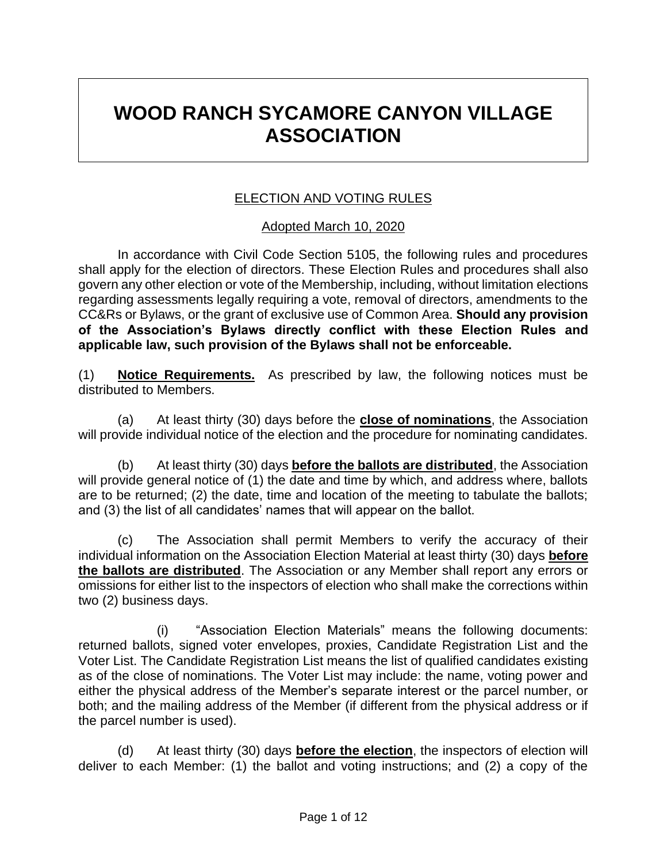# **WOOD RANCH SYCAMORE CANYON VILLAGE ASSOCIATION**

#### ELECTION AND VOTING RULES

#### Adopted March 10, 2020

In accordance with Civil Code Section 5105, the following rules and procedures shall apply for the election of directors. These Election Rules and procedures shall also govern any other election or vote of the Membership, including, without limitation elections regarding assessments legally requiring a vote, removal of directors, amendments to the CC&Rs or Bylaws, or the grant of exclusive use of Common Area. **Should any provision of the Association's Bylaws directly conflict with these Election Rules and applicable law, such provision of the Bylaws shall not be enforceable.**

(1) **Notice Requirements.** As prescribed by law, the following notices must be distributed to Members.

(a) At least thirty (30) days before the **close of nominations**, the Association will provide individual notice of the election and the procedure for nominating candidates.

(b) At least thirty (30) days **before the ballots are distributed**, the Association will provide general notice of (1) the date and time by which, and address where, ballots are to be returned; (2) the date, time and location of the meeting to tabulate the ballots; and (3) the list of all candidates' names that will appear on the ballot.

(c) The Association shall permit Members to verify the accuracy of their individual information on the Association Election Material at least thirty (30) days **before the ballots are distributed**. The Association or any Member shall report any errors or omissions for either list to the inspectors of election who shall make the corrections within two (2) business days.

(i) "Association Election Materials" means the following documents: returned ballots, signed voter envelopes, proxies, Candidate Registration List and the Voter List. The Candidate Registration List means the list of qualified candidates existing as of the close of nominations. The Voter List may include: the name, voting power and either the physical address of the Member's separate interest or the parcel number, or both; and the mailing address of the Member (if different from the physical address or if the parcel number is used).

(d) At least thirty (30) days **before the election**, the inspectors of election will deliver to each Member: (1) the ballot and voting instructions; and (2) a copy of the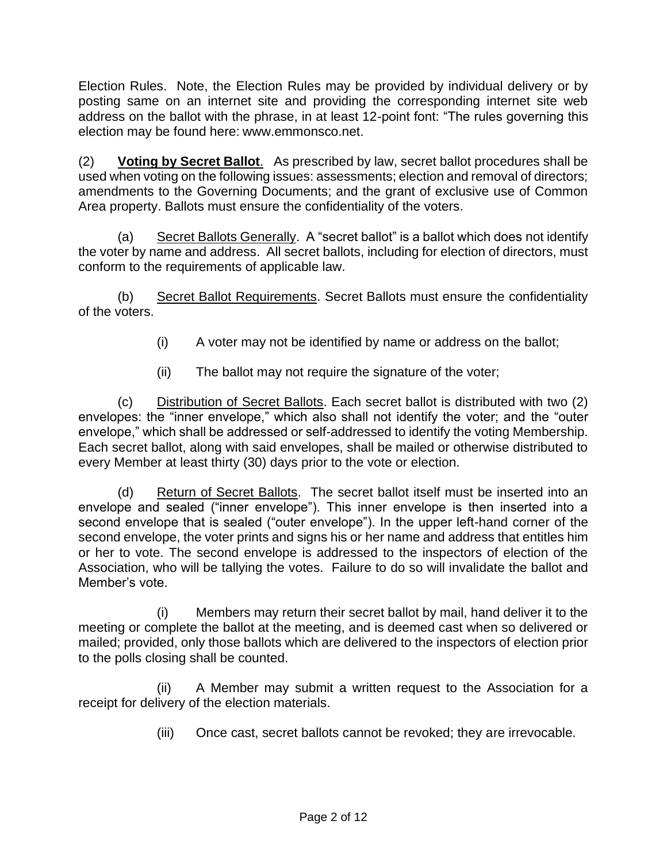Election Rules. Note, the Election Rules may be provided by individual delivery or by posting same on an internet site and providing the corresponding internet site web address on the ballot with the phrase, in at least 12-point font: "The rules governing this election may be found here: www.emmonsco.net.

(2) **Voting by Secret Ballot**. As prescribed by law, secret ballot procedures shall be used when voting on the following issues: assessments; election and removal of directors; amendments to the Governing Documents; and the grant of exclusive use of Common Area property. Ballots must ensure the confidentiality of the voters.

(a) Secret Ballots Generally. A "secret ballot" is a ballot which does not identify the voter by name and address. All secret ballots, including for election of directors, must conform to the requirements of applicable law.

(b) Secret Ballot Requirements. Secret Ballots must ensure the confidentiality of the voters.

- (i) A voter may not be identified by name or address on the ballot;
- (ii) The ballot may not require the signature of the voter;

(c) Distribution of Secret Ballots. Each secret ballot is distributed with two (2) envelopes: the "inner envelope," which also shall not identify the voter; and the "outer envelope," which shall be addressed or self-addressed to identify the voting Membership. Each secret ballot, along with said envelopes, shall be mailed or otherwise distributed to every Member at least thirty (30) days prior to the vote or election.

(d) Return of Secret Ballots. The secret ballot itself must be inserted into an envelope and sealed ("inner envelope"). This inner envelope is then inserted into a second envelope that is sealed ("outer envelope"). In the upper left-hand corner of the second envelope, the voter prints and signs his or her name and address that entitles him or her to vote. The second envelope is addressed to the inspectors of election of the Association, who will be tallying the votes. Failure to do so will invalidate the ballot and Member's vote.

(i) Members may return their secret ballot by mail, hand deliver it to the meeting or complete the ballot at the meeting, and is deemed cast when so delivered or mailed; provided, only those ballots which are delivered to the inspectors of election prior to the polls closing shall be counted.

(ii) A Member may submit a written request to the Association for a receipt for delivery of the election materials.

(iii) Once cast, secret ballots cannot be revoked; they are irrevocable.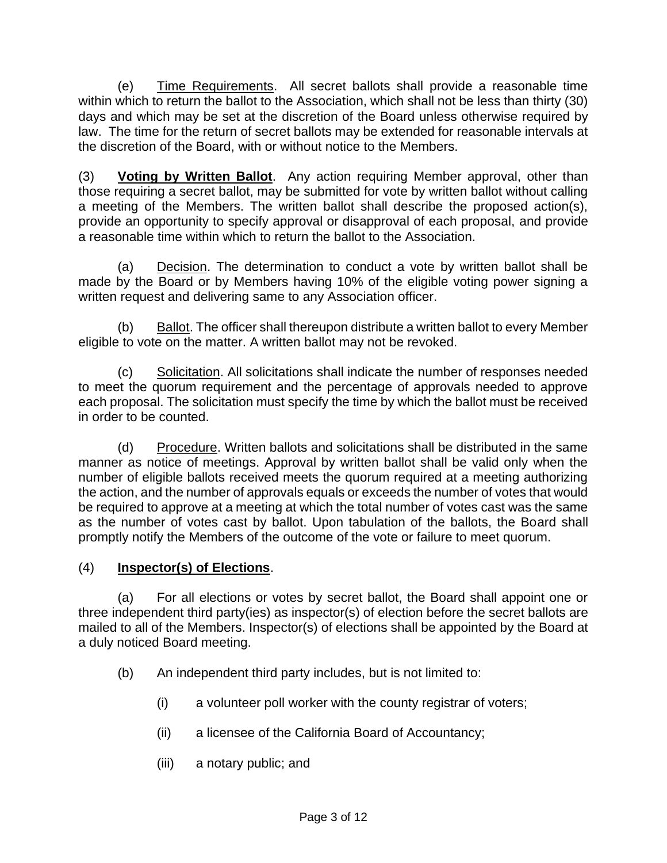(e) Time Requirements. All secret ballots shall provide a reasonable time within which to return the ballot to the Association, which shall not be less than thirty (30) days and which may be set at the discretion of the Board unless otherwise required by law. The time for the return of secret ballots may be extended for reasonable intervals at the discretion of the Board, with or without notice to the Members.

(3) **Voting by Written Ballot**. Any action requiring Member approval, other than those requiring a secret ballot, may be submitted for vote by written ballot without calling a meeting of the Members. The written ballot shall describe the proposed action(s), provide an opportunity to specify approval or disapproval of each proposal, and provide a reasonable time within which to return the ballot to the Association.

(a) Decision. The determination to conduct a vote by written ballot shall be made by the Board or by Members having 10% of the eligible voting power signing a written request and delivering same to any Association officer.

(b) Ballot. The officer shall thereupon distribute a written ballot to every Member eligible to vote on the matter. A written ballot may not be revoked.

(c) Solicitation. All solicitations shall indicate the number of responses needed to meet the quorum requirement and the percentage of approvals needed to approve each proposal. The solicitation must specify the time by which the ballot must be received in order to be counted.

(d) Procedure. Written ballots and solicitations shall be distributed in the same manner as notice of meetings. Approval by written ballot shall be valid only when the number of eligible ballots received meets the quorum required at a meeting authorizing the action, and the number of approvals equals or exceeds the number of votes that would be required to approve at a meeting at which the total number of votes cast was the same as the number of votes cast by ballot. Upon tabulation of the ballots, the Board shall promptly notify the Members of the outcome of the vote or failure to meet quorum.

# (4) **Inspector(s) of Elections**.

(a) For all elections or votes by secret ballot, the Board shall appoint one or three independent third party(ies) as inspector(s) of election before the secret ballots are mailed to all of the Members. Inspector(s) of elections shall be appointed by the Board at a duly noticed Board meeting.

- (b) An independent third party includes, but is not limited to:
	- (i) a volunteer poll worker with the county registrar of voters;
	- (ii) a licensee of the California Board of Accountancy;
	- (iii) a notary public; and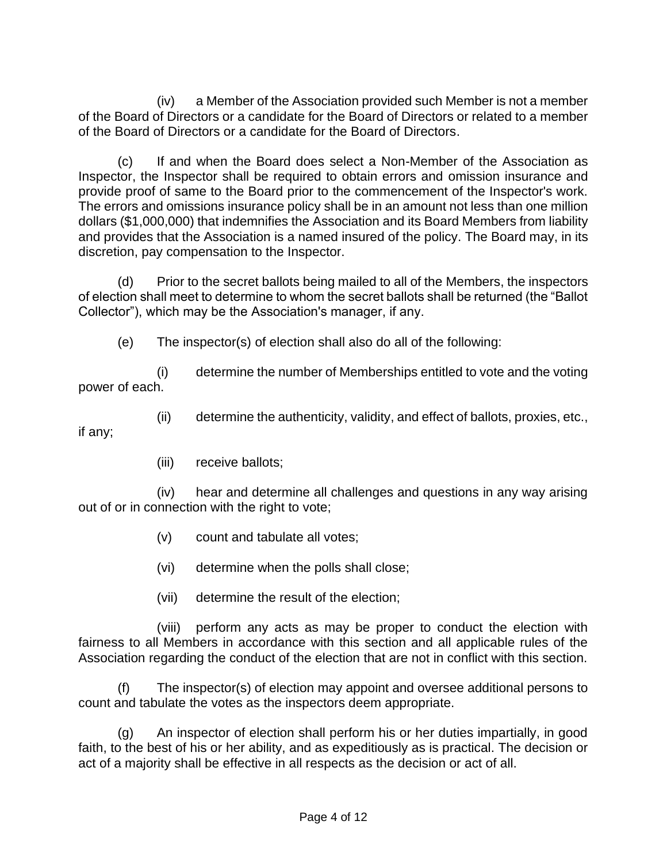(iv) a Member of the Association provided such Member is not a member of the Board of Directors or a candidate for the Board of Directors or related to a member of the Board of Directors or a candidate for the Board of Directors.

(c) If and when the Board does select a Non-Member of the Association as Inspector, the Inspector shall be required to obtain errors and omission insurance and provide proof of same to the Board prior to the commencement of the Inspector's work. The errors and omissions insurance policy shall be in an amount not less than one million dollars (\$1,000,000) that indemnifies the Association and its Board Members from liability and provides that the Association is a named insured of the policy. The Board may, in its discretion, pay compensation to the Inspector.

(d) Prior to the secret ballots being mailed to all of the Members, the inspectors of election shall meet to determine to whom the secret ballots shall be returned (the "Ballot Collector"), which may be the Association's manager, if any.

(e) The inspector(s) of election shall also do all of the following:

(i) determine the number of Memberships entitled to vote and the voting power of each.

(ii) determine the authenticity, validity, and effect of ballots, proxies, etc.,

if any;

(iii) receive ballots;

(iv) hear and determine all challenges and questions in any way arising out of or in connection with the right to vote;

- (v) count and tabulate all votes;
- (vi) determine when the polls shall close;
- (vii) determine the result of the election;

(viii) perform any acts as may be proper to conduct the election with fairness to all Members in accordance with this section and all applicable rules of the Association regarding the conduct of the election that are not in conflict with this section.

(f) The inspector(s) of election may appoint and oversee additional persons to count and tabulate the votes as the inspectors deem appropriate.

(g) An inspector of election shall perform his or her duties impartially, in good faith, to the best of his or her ability, and as expeditiously as is practical. The decision or act of a majority shall be effective in all respects as the decision or act of all.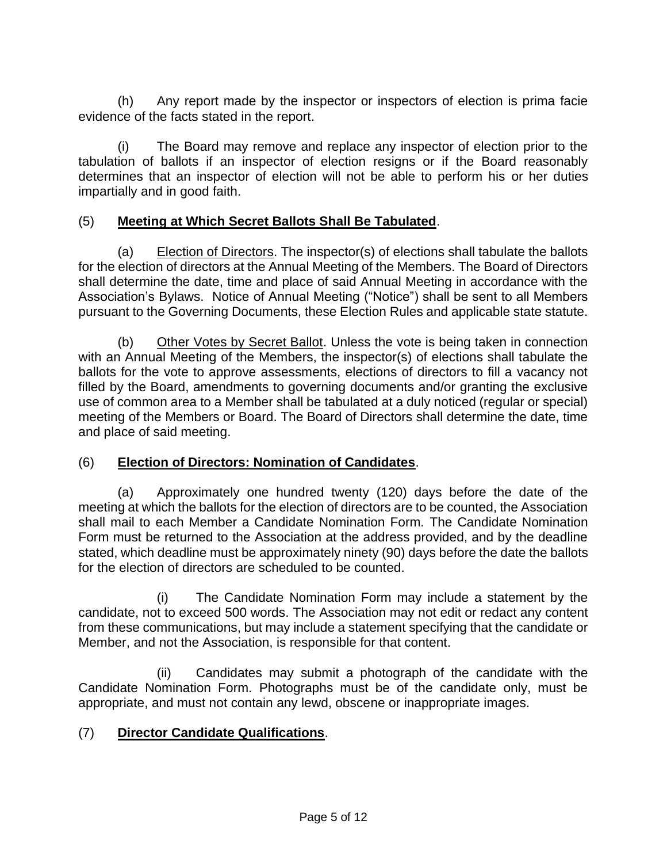(h) Any report made by the inspector or inspectors of election is prima facie evidence of the facts stated in the report.

(i) The Board may remove and replace any inspector of election prior to the tabulation of ballots if an inspector of election resigns or if the Board reasonably determines that an inspector of election will not be able to perform his or her duties impartially and in good faith.

#### (5) **Meeting at Which Secret Ballots Shall Be Tabulated**.

(a) Election of Directors. The inspector(s) of elections shall tabulate the ballots for the election of directors at the Annual Meeting of the Members. The Board of Directors shall determine the date, time and place of said Annual Meeting in accordance with the Association's Bylaws. Notice of Annual Meeting ("Notice") shall be sent to all Members pursuant to the Governing Documents, these Election Rules and applicable state statute.

(b) Other Votes by Secret Ballot. Unless the vote is being taken in connection with an Annual Meeting of the Members, the inspector(s) of elections shall tabulate the ballots for the vote to approve assessments, elections of directors to fill a vacancy not filled by the Board, amendments to governing documents and/or granting the exclusive use of common area to a Member shall be tabulated at a duly noticed (regular or special) meeting of the Members or Board. The Board of Directors shall determine the date, time and place of said meeting.

#### (6) **Election of Directors: Nomination of Candidates**.

(a) Approximately one hundred twenty (120) days before the date of the meeting at which the ballots for the election of directors are to be counted, the Association shall mail to each Member a Candidate Nomination Form. The Candidate Nomination Form must be returned to the Association at the address provided, and by the deadline stated, which deadline must be approximately ninety (90) days before the date the ballots for the election of directors are scheduled to be counted.

(i) The Candidate Nomination Form may include a statement by the candidate, not to exceed 500 words. The Association may not edit or redact any content from these communications, but may include a statement specifying that the candidate or Member, and not the Association, is responsible for that content.

(ii) Candidates may submit a photograph of the candidate with the Candidate Nomination Form. Photographs must be of the candidate only, must be appropriate, and must not contain any lewd, obscene or inappropriate images.

# (7) **Director Candidate Qualifications**.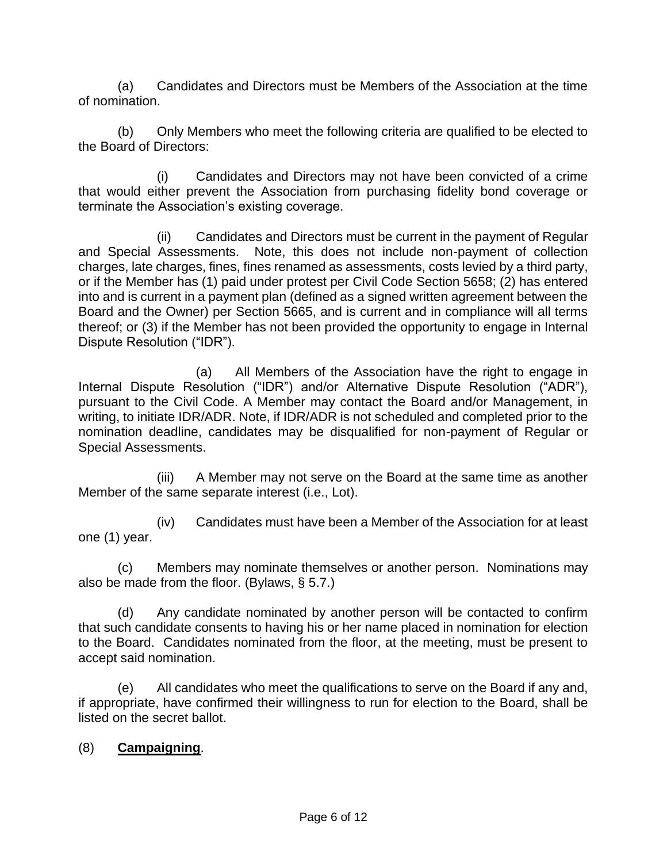(a) Candidates and Directors must be Members of the Association at the time of nomination.

(b) Only Members who meet the following criteria are qualified to be elected to the Board of Directors:

(i) Candidates and Directors may not have been convicted of a crime that would either prevent the Association from purchasing fidelity bond coverage or terminate the Association's existing coverage.

(ii) Candidates and Directors must be current in the payment of Regular and Special Assessments. Note, this does not include non-payment of collection charges, late charges, fines, fines renamed as assessments, costs levied by a third party, or if the Member has (1) paid under protest per Civil Code Section 5658; (2) has entered into and is current in a payment plan (defined as a signed written agreement between the Board and the Owner) per Section 5665, and is current and in compliance will all terms thereof; or (3) if the Member has not been provided the opportunity to engage in Internal Dispute Resolution ("IDR").

(a) All Members of the Association have the right to engage in Internal Dispute Resolution ("IDR") and/or Alternative Dispute Resolution ("ADR"), pursuant to the Civil Code. A Member may contact the Board and/or Management, in writing, to initiate IDR/ADR. Note, if IDR/ADR is not scheduled and completed prior to the nomination deadline, candidates may be disqualified for non-payment of Regular or Special Assessments.

(iii) A Member may not serve on the Board at the same time as another Member of the same separate interest (i.e., Lot).

(iv) Candidates must have been a Member of the Association for at least one (1) year.

(c) Members may nominate themselves or another person. Nominations may also be made from the floor. (Bylaws, § 5.7.)

(d) Any candidate nominated by another person will be contacted to confirm that such candidate consents to having his or her name placed in nomination for election to the Board. Candidates nominated from the floor, at the meeting, must be present to accept said nomination.

(e) All candidates who meet the qualifications to serve on the Board if any and, if appropriate, have confirmed their willingness to run for election to the Board, shall be listed on the secret ballot.

#### (8) **Campaigning**.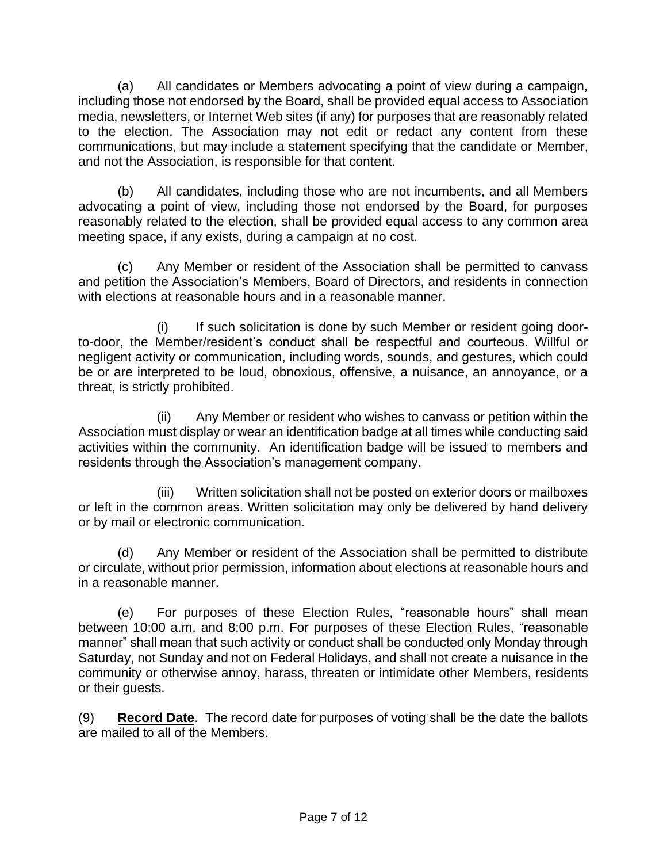(a) All candidates or Members advocating a point of view during a campaign, including those not endorsed by the Board, shall be provided equal access to Association media, newsletters, or Internet Web sites (if any) for purposes that are reasonably related to the election. The Association may not edit or redact any content from these communications, but may include a statement specifying that the candidate or Member, and not the Association, is responsible for that content.

(b) All candidates, including those who are not incumbents, and all Members advocating a point of view, including those not endorsed by the Board, for purposes reasonably related to the election, shall be provided equal access to any common area meeting space, if any exists, during a campaign at no cost.

(c) Any Member or resident of the Association shall be permitted to canvass and petition the Association's Members, Board of Directors, and residents in connection with elections at reasonable hours and in a reasonable manner.

(i) If such solicitation is done by such Member or resident going doorto-door, the Member/resident's conduct shall be respectful and courteous. Willful or negligent activity or communication, including words, sounds, and gestures, which could be or are interpreted to be loud, obnoxious, offensive, a nuisance, an annoyance, or a threat, is strictly prohibited.

(ii) Any Member or resident who wishes to canvass or petition within the Association must display or wear an identification badge at all times while conducting said activities within the community. An identification badge will be issued to members and residents through the Association's management company.

(iii) Written solicitation shall not be posted on exterior doors or mailboxes or left in the common areas. Written solicitation may only be delivered by hand delivery or by mail or electronic communication.

(d) Any Member or resident of the Association shall be permitted to distribute or circulate, without prior permission, information about elections at reasonable hours and in a reasonable manner.

(e) For purposes of these Election Rules, "reasonable hours" shall mean between 10:00 a.m. and 8:00 p.m. For purposes of these Election Rules, "reasonable manner" shall mean that such activity or conduct shall be conducted only Monday through Saturday, not Sunday and not on Federal Holidays, and shall not create a nuisance in the community or otherwise annoy, harass, threaten or intimidate other Members, residents or their guests.

(9) **Record Date**. The record date for purposes of voting shall be the date the ballots are mailed to all of the Members.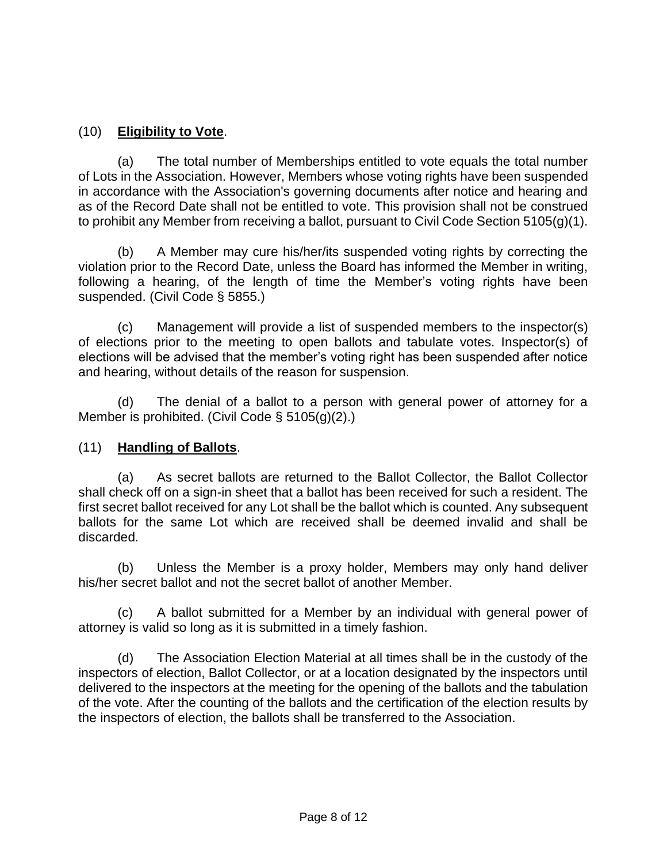#### (10) **Eligibility to Vote**.

(a) The total number of Memberships entitled to vote equals the total number of Lots in the Association. However, Members whose voting rights have been suspended in accordance with the Association's governing documents after notice and hearing and as of the Record Date shall not be entitled to vote. This provision shall not be construed to prohibit any Member from receiving a ballot, pursuant to Civil Code Section 5105(g)(1).

(b) A Member may cure his/her/its suspended voting rights by correcting the violation prior to the Record Date, unless the Board has informed the Member in writing, following a hearing, of the length of time the Member's voting rights have been suspended. (Civil Code § 5855.)

(c) Management will provide a list of suspended members to the inspector(s) of elections prior to the meeting to open ballots and tabulate votes. Inspector(s) of elections will be advised that the member's voting right has been suspended after notice and hearing, without details of the reason for suspension.

(d) The denial of a ballot to a person with general power of attorney for a Member is prohibited. (Civil Code § 5105(g)(2).)

#### (11) **Handling of Ballots**.

(a) As secret ballots are returned to the Ballot Collector, the Ballot Collector shall check off on a sign-in sheet that a ballot has been received for such a resident. The first secret ballot received for any Lot shall be the ballot which is counted. Any subsequent ballots for the same Lot which are received shall be deemed invalid and shall be discarded.

(b) Unless the Member is a proxy holder, Members may only hand deliver his/her secret ballot and not the secret ballot of another Member.

(c) A ballot submitted for a Member by an individual with general power of attorney is valid so long as it is submitted in a timely fashion.

(d) The Association Election Material at all times shall be in the custody of the inspectors of election, Ballot Collector, or at a location designated by the inspectors until delivered to the inspectors at the meeting for the opening of the ballots and the tabulation of the vote. After the counting of the ballots and the certification of the election results by the inspectors of election, the ballots shall be transferred to the Association.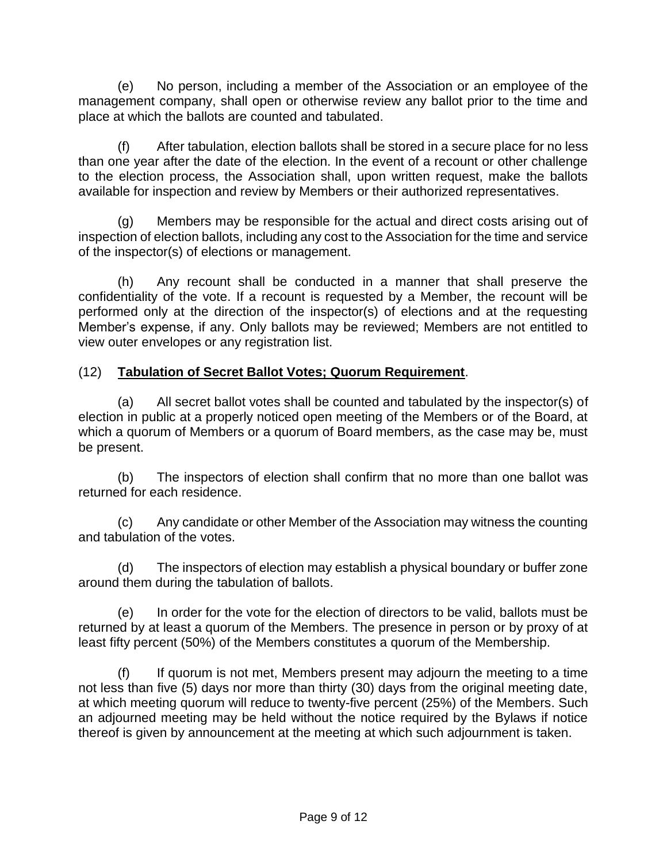(e) No person, including a member of the Association or an employee of the management company, shall open or otherwise review any ballot prior to the time and place at which the ballots are counted and tabulated.

(f) After tabulation, election ballots shall be stored in a secure place for no less than one year after the date of the election. In the event of a recount or other challenge to the election process, the Association shall, upon written request, make the ballots available for inspection and review by Members or their authorized representatives.

(g) Members may be responsible for the actual and direct costs arising out of inspection of election ballots, including any cost to the Association for the time and service of the inspector(s) of elections or management.

(h) Any recount shall be conducted in a manner that shall preserve the confidentiality of the vote. If a recount is requested by a Member, the recount will be performed only at the direction of the inspector(s) of elections and at the requesting Member's expense, if any. Only ballots may be reviewed; Members are not entitled to view outer envelopes or any registration list.

# (12) **Tabulation of Secret Ballot Votes; Quorum Requirement**.

(a) All secret ballot votes shall be counted and tabulated by the inspector(s) of election in public at a properly noticed open meeting of the Members or of the Board, at which a quorum of Members or a quorum of Board members, as the case may be, must be present.

(b) The inspectors of election shall confirm that no more than one ballot was returned for each residence.

(c) Any candidate or other Member of the Association may witness the counting and tabulation of the votes.

(d) The inspectors of election may establish a physical boundary or buffer zone around them during the tabulation of ballots.

(e) In order for the vote for the election of directors to be valid, ballots must be returned by at least a quorum of the Members. The presence in person or by proxy of at least fifty percent (50%) of the Members constitutes a quorum of the Membership.

(f) If quorum is not met, Members present may adjourn the meeting to a time not less than five (5) days nor more than thirty (30) days from the original meeting date, at which meeting quorum will reduce to twenty-five percent (25%) of the Members. Such an adjourned meeting may be held without the notice required by the Bylaws if notice thereof is given by announcement at the meeting at which such adjournment is taken.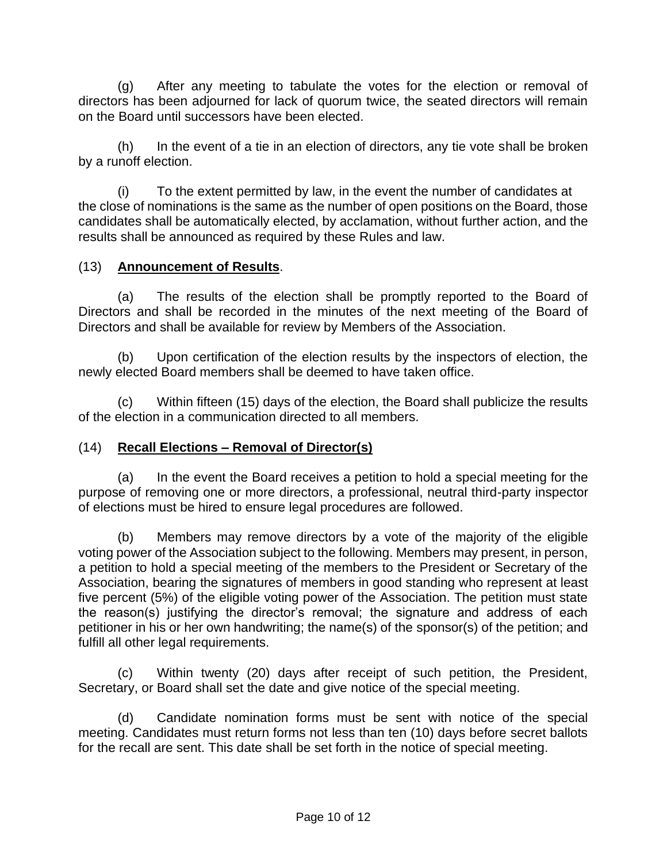(g) After any meeting to tabulate the votes for the election or removal of directors has been adjourned for lack of quorum twice, the seated directors will remain on the Board until successors have been elected.

(h) In the event of a tie in an election of directors, any tie vote shall be broken by a runoff election.

(i) To the extent permitted by law, in the event the number of candidates at the close of nominations is the same as the number of open positions on the Board, those candidates shall be automatically elected, by acclamation, without further action, and the results shall be announced as required by these Rules and law.

#### (13) **Announcement of Results**.

(a) The results of the election shall be promptly reported to the Board of Directors and shall be recorded in the minutes of the next meeting of the Board of Directors and shall be available for review by Members of the Association.

(b) Upon certification of the election results by the inspectors of election, the newly elected Board members shall be deemed to have taken office.

(c) Within fifteen (15) days of the election, the Board shall publicize the results of the election in a communication directed to all members.

# (14) **Recall Elections – Removal of Director(s)**

(a) In the event the Board receives a petition to hold a special meeting for the purpose of removing one or more directors, a professional, neutral third-party inspector of elections must be hired to ensure legal procedures are followed.

(b) Members may remove directors by a vote of the majority of the eligible voting power of the Association subject to the following. Members may present, in person, a petition to hold a special meeting of the members to the President or Secretary of the Association, bearing the signatures of members in good standing who represent at least five percent (5%) of the eligible voting power of the Association. The petition must state the reason(s) justifying the director's removal; the signature and address of each petitioner in his or her own handwriting; the name(s) of the sponsor(s) of the petition; and fulfill all other legal requirements.

(c) Within twenty (20) days after receipt of such petition, the President, Secretary, or Board shall set the date and give notice of the special meeting.

(d) Candidate nomination forms must be sent with notice of the special meeting. Candidates must return forms not less than ten (10) days before secret ballots for the recall are sent. This date shall be set forth in the notice of special meeting.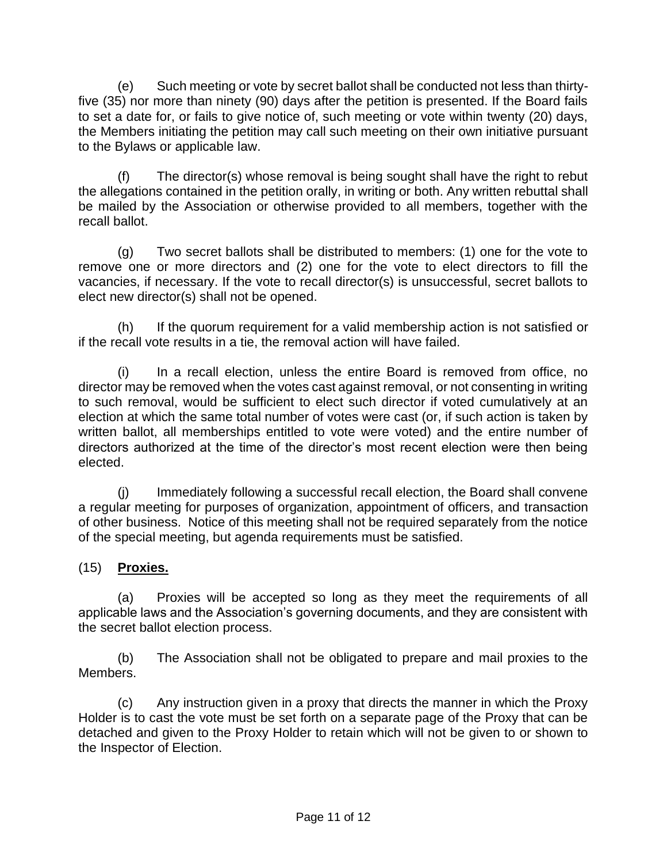(e) Such meeting or vote by secret ballot shall be conducted not less than thirtyfive (35) nor more than ninety (90) days after the petition is presented. If the Board fails to set a date for, or fails to give notice of, such meeting or vote within twenty (20) days, the Members initiating the petition may call such meeting on their own initiative pursuant to the Bylaws or applicable law.

(f) The director(s) whose removal is being sought shall have the right to rebut the allegations contained in the petition orally, in writing or both. Any written rebuttal shall be mailed by the Association or otherwise provided to all members, together with the recall ballot.

(g) Two secret ballots shall be distributed to members: (1) one for the vote to remove one or more directors and (2) one for the vote to elect directors to fill the vacancies, if necessary. If the vote to recall director(s) is unsuccessful, secret ballots to elect new director(s) shall not be opened.

(h) If the quorum requirement for a valid membership action is not satisfied or if the recall vote results in a tie, the removal action will have failed.

(i) In a recall election, unless the entire Board is removed from office, no director may be removed when the votes cast against removal, or not consenting in writing to such removal, would be sufficient to elect such director if voted cumulatively at an election at which the same total number of votes were cast (or, if such action is taken by written ballot, all memberships entitled to vote were voted) and the entire number of directors authorized at the time of the director's most recent election were then being elected.

(j) Immediately following a successful recall election, the Board shall convene a regular meeting for purposes of organization, appointment of officers, and transaction of other business. Notice of this meeting shall not be required separately from the notice of the special meeting, but agenda requirements must be satisfied.

# (15) **Proxies.**

(a) Proxies will be accepted so long as they meet the requirements of all applicable laws and the Association's governing documents, and they are consistent with the secret ballot election process.

(b) The Association shall not be obligated to prepare and mail proxies to the Members.

(c) Any instruction given in a proxy that directs the manner in which the Proxy Holder is to cast the vote must be set forth on a separate page of the Proxy that can be detached and given to the Proxy Holder to retain which will not be given to or shown to the Inspector of Election.